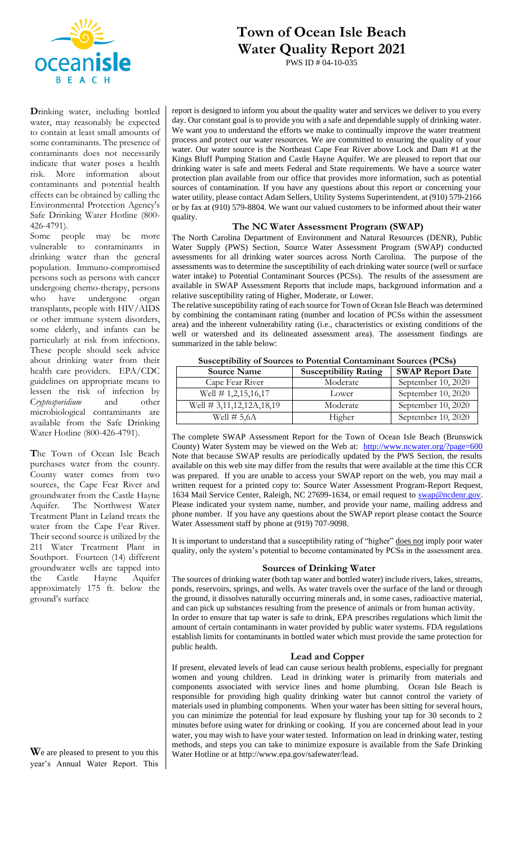

# **Town of Ocean Isle Beach Water Quality Report 2021**

PWS ID # 04-10-035

**D**rinking water, including bottled water, may reasonably be expected to contain at least small amounts of some contaminants. The presence of contaminants does not necessarily indicate that water poses a health risk. More information about contaminants and potential health effects can be obtained by calling the Environmental Protection Agency's Safe Drinking Water Hotline (800- 426-4791).

Some people may be more vulnerable to contaminants in drinking water than the general population. Immuno-compromised persons such as persons with cancer undergoing chemo-therapy, persons who have undergone organ transplants, people with HIV/AIDS or other immune system disorders, some elderly, and infants can be particularly at risk from infections. These people should seek advice about drinking water from their health care providers. EPA/CDC guidelines on appropriate means to lessen the risk of infection by C*ryptosporidium* and other microbiological contaminants are available from the Safe Drinking Water Hotline (800-426-4791).

**T**he Town of Ocean Isle Beach purchases water from the county. County water comes from two sources, the Cape Fear River and groundwater from the Castle Hayne Aquifer. The Northwest Water Treatment Plant in Leland treats the water from the Cape Fear River. Their second source is utilized by the 211 Water Treatment Plant in Southport. Fourteen (14) different groundwater wells are tapped into the Castle Hayne Aquifer approximately 175 ft. below the ground's surface

**W**e are pleased to present to you this year's Annual Water Report. This report is designed to inform you about the quality water and services we deliver to you every day. Our constant goal is to provide you with a safe and dependable supply of drinking water. We want you to understand the efforts we make to continually improve the water treatment process and protect our water resources. We are committed to ensuring the quality of your water. Our water source is the Northeast Cape Fear River above Lock and Dam #1 at the Kings Bluff Pumping Station and Castle Hayne Aquifer. We are pleased to report that our drinking water is safe and meets Federal and State requirements. We have a source water protection plan available from our office that provides more information, such as potential sources of contamination. If you have any questions about this report or concerning your water utility, please contact Adam Sellers, Utility Systems Superintendent, at (910) 579-2166 or by fax at (910) 579-8804. We want our valued customers to be informed about their water quality.

#### **The NC Water Assessment Program (SWAP)**

The North Carolina Department of Environment and Natural Resources (DENR), Public Water Supply (PWS) Section, Source Water Assessment Program (SWAP) conducted assessments for all drinking water sources across North Carolina. The purpose of the assessments was to determine the susceptibility of each drinking water source (well or surface water intake) to Potential Contaminant Sources (PCSs). The results of the assessment are available in SWAP Assessment Reports that include maps, background information and a relative susceptibility rating of Higher, Moderate, or Lower.

The relative susceptibility rating of each source for Town of Ocean Isle Beach was determined by combining the contaminant rating (number and location of PCSs within the assessment area) and the inherent vulnerability rating (i.e., characteristics or existing conditions of the well or watershed and its delineated assessment area). The assessment findings are summarized in the table below:

| ousceptionity of cources to I otential contaminant cources (I Gos) |                              |                         |  |  |  |  |
|--------------------------------------------------------------------|------------------------------|-------------------------|--|--|--|--|
| <b>Source Name</b>                                                 | <b>Susceptibility Rating</b> | <b>SWAP Report Date</b> |  |  |  |  |
| Cape Fear River                                                    | Moderate                     | September 10, 2020      |  |  |  |  |
| Well $\#$ 1,2,15,16,17                                             | Lower                        | September 10, 2020      |  |  |  |  |
| Well # 3,11,12,12A,18,19                                           | Moderate                     | September 10, 2020      |  |  |  |  |
| Well $\#$ 5,6A                                                     | Higher                       | September 10, 2020      |  |  |  |  |

**Susceptibility of Sources to Potential Contaminant Sources (PCSs)**

The complete SWAP Assessment Report for the Town of Ocean Isle Beach (Brunswick County) Water System may be viewed on the Web at: <http://www.ncwater.org/?page=600> Note that because SWAP results are periodically updated by the PWS Section, the results available on this web site may differ from the results that were available at the time this CCR was prepared. If you are unable to access your SWAP report on the web, you may mail a written request for a printed copy to: Source Water Assessment Program-Report Request, 1634 Mail Service Center, Raleigh, NC 27699-1634, or email request to [swap@ncdenr.gov.](mailto:swap@ncdenr.gov) Please indicated your system name, number, and provide your name, mailing address and phone number. If you have any questions about the SWAP report please contact the Source Water Assessment staff by phone at (919) 707-9098.

It is important to understand that a susceptibility rating of "higher" does not imply poor water quality, only the system's potential to become contaminated by PCSs in the assessment area.

#### **Sources of Drinking Water**

The sources of drinking water (both tap water and bottled water) include rivers, lakes, streams, ponds, reservoirs, springs, and wells. As water travels over the surface of the land or through the ground, it dissolves naturally occurring minerals and, in some cases, radioactive material, and can pick up substances resulting from the presence of animals or from human activity. In order to ensure that tap water is safe to drink, EPA prescribes regulations which limit the amount of certain contaminants in water provided by public water systems. FDA regulations establish limits for contaminants in bottled water which must provide the same protection for public health.

#### **Lead and Copper**

If present, elevated levels of lead can cause serious health problems, especially for pregnant women and young children. Lead in drinking water is primarily from materials and components associated with service lines and home plumbing. Ocean Isle Beach is responsible for providing high quality drinking water but cannot control the variety of materials used in plumbing components. When your water has been sitting for several hours, you can minimize the potential for lead exposure by flushing your tap for 30 seconds to 2 minutes before using water for drinking or cooking. If you are concerned about lead in your water, you may wish to have your water tested. Information on lead in drinking water, testing methods, and steps you can take to minimize exposure is available from the Safe Drinking Water Hotline or at http://www.epa.gov/safewater/lead.